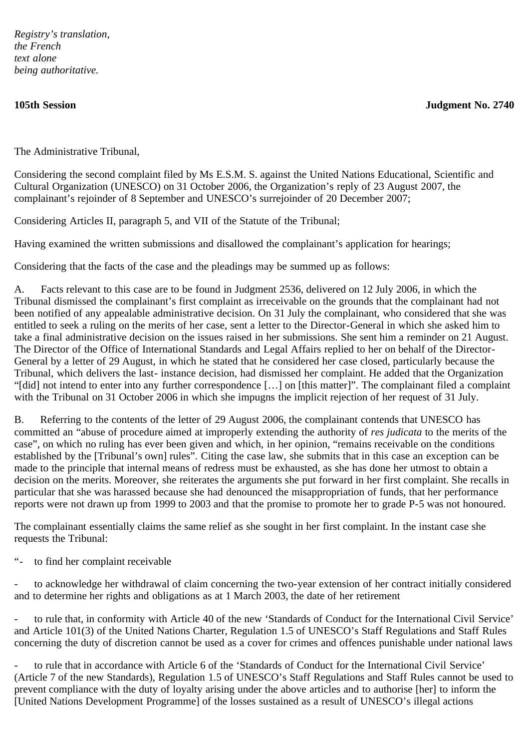*Registry's translation, the French text alone being authoritative.*

**105th Session Judgment No. 2740**

The Administrative Tribunal,

Considering the second complaint filed by Ms E.S.M. S. against the United Nations Educational, Scientific and Cultural Organization (UNESCO) on 31 October 2006, the Organization's reply of 23 August 2007, the complainant's rejoinder of 8 September and UNESCO's surrejoinder of 20 December 2007;

Considering Articles II, paragraph 5, and VII of the Statute of the Tribunal;

Having examined the written submissions and disallowed the complainant's application for hearings;

Considering that the facts of the case and the pleadings may be summed up as follows:

A. Facts relevant to this case are to be found in Judgment 2536, delivered on 12 July 2006, in which the Tribunal dismissed the complainant's first complaint as irreceivable on the grounds that the complainant had not been notified of any appealable administrative decision. On 31 July the complainant, who considered that she was entitled to seek a ruling on the merits of her case, sent a letter to the Director-General in which she asked him to take a final administrative decision on the issues raised in her submissions. She sent him a reminder on 21 August. The Director of the Office of International Standards and Legal Affairs replied to her on behalf of the Director-General by a letter of 29 August, in which he stated that he considered her case closed, particularly because the Tribunal, which delivers the last- instance decision, had dismissed her complaint. He added that the Organization "[did] not intend to enter into any further correspondence […] on [this matter]". The complainant filed a complaint with the Tribunal on 31 October 2006 in which she impugns the implicit rejection of her request of 31 July.

B. Referring to the contents of the letter of 29 August 2006, the complainant contends that UNESCO has committed an "abuse of procedure aimed at improperly extending the authority of *res judicata* to the merits of the case", on which no ruling has ever been given and which, in her opinion, "remains receivable on the conditions established by the [Tribunal's own] rules". Citing the case law, she submits that in this case an exception can be made to the principle that internal means of redress must be exhausted, as she has done her utmost to obtain a decision on the merits. Moreover, she reiterates the arguments she put forward in her first complaint. She recalls in particular that she was harassed because she had denounced the misappropriation of funds, that her performance reports were not drawn up from 1999 to 2003 and that the promise to promote her to grade P-5 was not honoured.

The complainant essentially claims the same relief as she sought in her first complaint. In the instant case she requests the Tribunal:

"- to find her complaint receivable

- to acknowledge her withdrawal of claim concerning the two-year extension of her contract initially considered and to determine her rights and obligations as at 1 March 2003, the date of her retirement

- to rule that, in conformity with Article 40 of the new 'Standards of Conduct for the International Civil Service' and Article 101(3) of the United Nations Charter, Regulation 1.5 of UNESCO's Staff Regulations and Staff Rules concerning the duty of discretion cannot be used as a cover for crimes and offences punishable under national laws

- to rule that in accordance with Article 6 of the 'Standards of Conduct for the International Civil Service' (Article 7 of the new Standards), Regulation 1.5 of UNESCO's Staff Regulations and Staff Rules cannot be used to prevent compliance with the duty of loyalty arising under the above articles and to authorise [her] to inform the [United Nations Development Programme] of the losses sustained as a result of UNESCO's illegal actions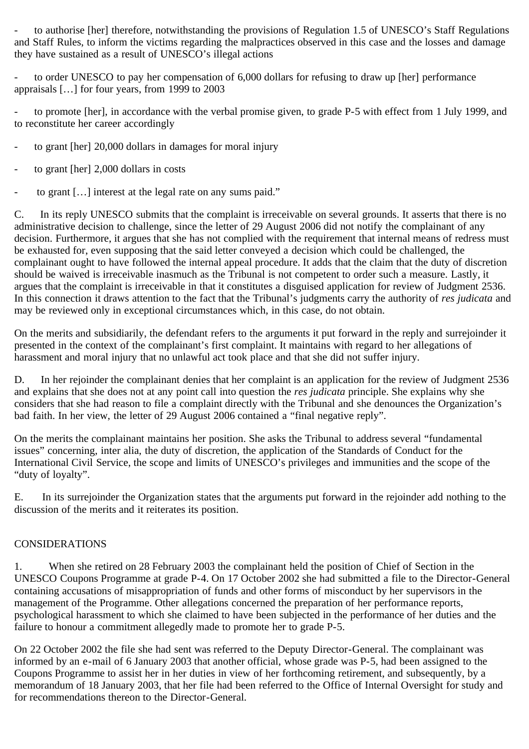- to authorise [her] therefore, notwithstanding the provisions of Regulation 1.5 of UNESCO's Staff Regulations and Staff Rules, to inform the victims regarding the malpractices observed in this case and the losses and damage they have sustained as a result of UNESCO's illegal actions

to order UNESCO to pay her compensation of 6,000 dollars for refusing to draw up [her] performance appraisals […] for four years, from 1999 to 2003

to promote [her], in accordance with the verbal promise given, to grade P-5 with effect from 1 July 1999, and to reconstitute her career accordingly

- to grant [her] 20,000 dollars in damages for moral injury
- to grant [her] 2,000 dollars in costs
- to grant [...] interest at the legal rate on any sums paid."

C. In its reply UNESCO submits that the complaint is irreceivable on several grounds. It asserts that there is no administrative decision to challenge, since the letter of 29 August 2006 did not notify the complainant of any decision. Furthermore, it argues that she has not complied with the requirement that internal means of redress must be exhausted for, even supposing that the said letter conveyed a decision which could be challenged, the complainant ought to have followed the internal appeal procedure. It adds that the claim that the duty of discretion should be waived is irreceivable inasmuch as the Tribunal is not competent to order such a measure. Lastly, it argues that the complaint is irreceivable in that it constitutes a disguised application for review of Judgment 2536. In this connection it draws attention to the fact that the Tribunal's judgments carry the authority of *res judicata* and may be reviewed only in exceptional circumstances which, in this case, do not obtain.

On the merits and subsidiarily, the defendant refers to the arguments it put forward in the reply and surrejoinder it presented in the context of the complainant's first complaint. It maintains with regard to her allegations of harassment and moral injury that no unlawful act took place and that she did not suffer injury.

D. In her rejoinder the complainant denies that her complaint is an application for the review of Judgment 2536 and explains that she does not at any point call into question the *res judicata* principle. She explains why she considers that she had reason to file a complaint directly with the Tribunal and she denounces the Organization's bad faith. In her view, the letter of 29 August 2006 contained a "final negative reply".

On the merits the complainant maintains her position. She asks the Tribunal to address several "fundamental issues" concerning, inter alia, the duty of discretion, the application of the Standards of Conduct for the International Civil Service, the scope and limits of UNESCO's privileges and immunities and the scope of the "duty of loyalty".

E. In its surrejoinder the Organization states that the arguments put forward in the rejoinder add nothing to the discussion of the merits and it reiterates its position.

## CONSIDERATIONS

1. When she retired on 28 February 2003 the complainant held the position of Chief of Section in the UNESCO Coupons Programme at grade P-4. On 17 October 2002 she had submitted a file to the Director-General containing accusations of misappropriation of funds and other forms of misconduct by her supervisors in the management of the Programme. Other allegations concerned the preparation of her performance reports, psychological harassment to which she claimed to have been subjected in the performance of her duties and the failure to honour a commitment allegedly made to promote her to grade P-5.

On 22 October 2002 the file she had sent was referred to the Deputy Director-General. The complainant was informed by an e-mail of 6 January 2003 that another official, whose grade was P-5, had been assigned to the Coupons Programme to assist her in her duties in view of her forthcoming retirement, and subsequently, by a memorandum of 18 January 2003, that her file had been referred to the Office of Internal Oversight for study and for recommendations thereon to the Director-General.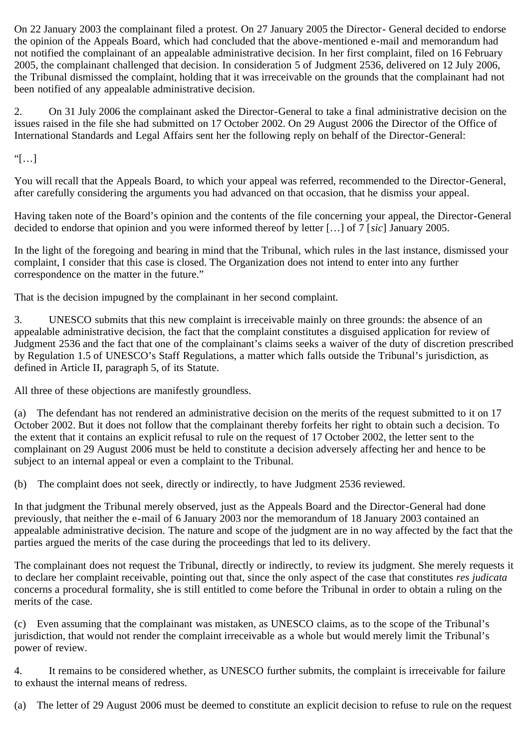On 22 January 2003 the complainant filed a protest. On 27 January 2005 the Director- General decided to endorse the opinion of the Appeals Board, which had concluded that the above-mentioned e-mail and memorandum had not notified the complainant of an appealable administrative decision. In her first complaint, filed on 16 February 2005, the complainant challenged that decision. In consideration 5 of Judgment 2536, delivered on 12 July 2006, the Tribunal dismissed the complaint, holding that it was irreceivable on the grounds that the complainant had not been notified of any appealable administrative decision.

2. On 31 July 2006 the complainant asked the Director-General to take a final administrative decision on the issues raised in the file she had submitted on 17 October 2002. On 29 August 2006 the Director of the Office of International Standards and Legal Affairs sent her the following reply on behalf of the Director-General:

"[…]

You will recall that the Appeals Board, to which your appeal was referred, recommended to the Director-General, after carefully considering the arguments you had advanced on that occasion, that he dismiss your appeal.

Having taken note of the Board's opinion and the contents of the file concerning your appeal, the Director-General decided to endorse that opinion and you were informed thereof by letter […] of 7 [*sic*] January 2005.

In the light of the foregoing and bearing in mind that the Tribunal, which rules in the last instance, dismissed your complaint, I consider that this case is closed. The Organization does not intend to enter into any further correspondence on the matter in the future."

That is the decision impugned by the complainant in her second complaint.

3. UNESCO submits that this new complaint is irreceivable mainly on three grounds: the absence of an appealable administrative decision, the fact that the complaint constitutes a disguised application for review of Judgment 2536 and the fact that one of the complainant's claims seeks a waiver of the duty of discretion prescribed by Regulation 1.5 of UNESCO's Staff Regulations, a matter which falls outside the Tribunal's jurisdiction, as defined in Article II, paragraph 5, of its Statute.

All three of these objections are manifestly groundless.

(a) The defendant has not rendered an administrative decision on the merits of the request submitted to it on 17 October 2002. But it does not follow that the complainant thereby forfeits her right to obtain such a decision. To the extent that it contains an explicit refusal to rule on the request of 17 October 2002, the letter sent to the complainant on 29 August 2006 must be held to constitute a decision adversely affecting her and hence to be subject to an internal appeal or even a complaint to the Tribunal.

(b) The complaint does not seek, directly or indirectly, to have Judgment 2536 reviewed.

In that judgment the Tribunal merely observed, just as the Appeals Board and the Director-General had done previously, that neither the e-mail of 6 January 2003 nor the memorandum of 18 January 2003 contained an appealable administrative decision. The nature and scope of the judgment are in no way affected by the fact that the parties argued the merits of the case during the proceedings that led to its delivery.

The complainant does not request the Tribunal, directly or indirectly, to review its judgment. She merely requests it to declare her complaint receivable, pointing out that, since the only aspect of the case that constitutes *res judicata* concerns a procedural formality, she is still entitled to come before the Tribunal in order to obtain a ruling on the merits of the case.

(c) Even assuming that the complainant was mistaken, as UNESCO claims, as to the scope of the Tribunal's jurisdiction, that would not render the complaint irreceivable as a whole but would merely limit the Tribunal's power of review.

4. It remains to be considered whether, as UNESCO further submits, the complaint is irreceivable for failure to exhaust the internal means of redress.

(a) The letter of 29 August 2006 must be deemed to constitute an explicit decision to refuse to rule on the request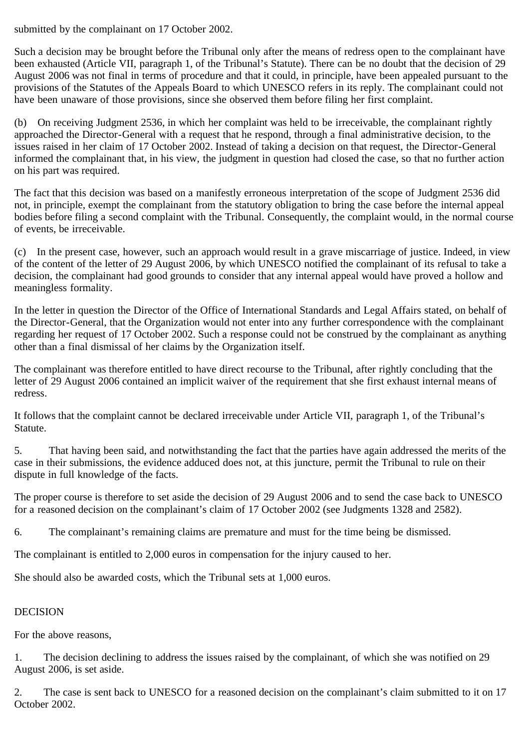submitted by the complainant on 17 October 2002.

Such a decision may be brought before the Tribunal only after the means of redress open to the complainant have been exhausted (Article VII, paragraph 1, of the Tribunal's Statute). There can be no doubt that the decision of 29 August 2006 was not final in terms of procedure and that it could, in principle, have been appealed pursuant to the provisions of the Statutes of the Appeals Board to which UNESCO refers in its reply. The complainant could not have been unaware of those provisions, since she observed them before filing her first complaint.

(b) On receiving Judgment 2536, in which her complaint was held to be irreceivable, the complainant rightly approached the Director-General with a request that he respond, through a final administrative decision, to the issues raised in her claim of 17 October 2002. Instead of taking a decision on that request, the Director-General informed the complainant that, in his view, the judgment in question had closed the case, so that no further action on his part was required.

The fact that this decision was based on a manifestly erroneous interpretation of the scope of Judgment 2536 did not, in principle, exempt the complainant from the statutory obligation to bring the case before the internal appeal bodies before filing a second complaint with the Tribunal. Consequently, the complaint would, in the normal course of events, be irreceivable.

(c) In the present case, however, such an approach would result in a grave miscarriage of justice. Indeed, in view of the content of the letter of 29 August 2006, by which UNESCO notified the complainant of its refusal to take a decision, the complainant had good grounds to consider that any internal appeal would have proved a hollow and meaningless formality.

In the letter in question the Director of the Office of International Standards and Legal Affairs stated, on behalf of the Director-General, that the Organization would not enter into any further correspondence with the complainant regarding her request of 17 October 2002. Such a response could not be construed by the complainant as anything other than a final dismissal of her claims by the Organization itself.

The complainant was therefore entitled to have direct recourse to the Tribunal, after rightly concluding that the letter of 29 August 2006 contained an implicit waiver of the requirement that she first exhaust internal means of redress.

It follows that the complaint cannot be declared irreceivable under Article VII, paragraph 1, of the Tribunal's Statute.

5. That having been said, and notwithstanding the fact that the parties have again addressed the merits of the case in their submissions, the evidence adduced does not, at this juncture, permit the Tribunal to rule on their dispute in full knowledge of the facts.

The proper course is therefore to set aside the decision of 29 August 2006 and to send the case back to UNESCO for a reasoned decision on the complainant's claim of 17 October 2002 (see Judgments 1328 and 2582).

6. The complainant's remaining claims are premature and must for the time being be dismissed.

The complainant is entitled to 2,000 euros in compensation for the injury caused to her.

She should also be awarded costs, which the Tribunal sets at 1,000 euros.

## DECISION

For the above reasons,

1. The decision declining to address the issues raised by the complainant, of which she was notified on 29 August 2006, is set aside.

2. The case is sent back to UNESCO for a reasoned decision on the complainant's claim submitted to it on 17 October 2002.